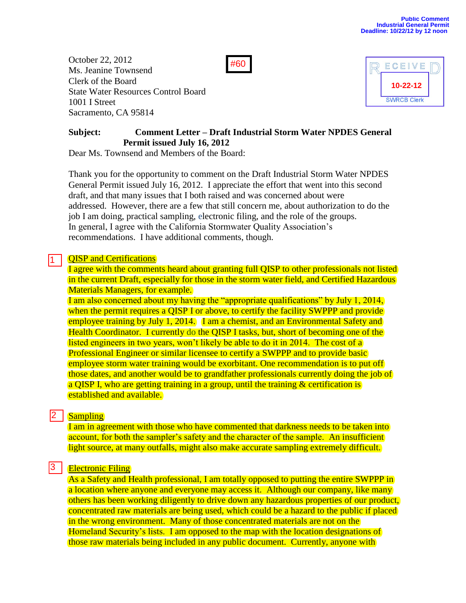October 22, 2012 Ms. Jeanine Townsend Clerk of the Board State Water Resources Control Board 1001 I Street Sacramento, CA 95814





# **Subject: Comment Letter – Draft Industrial Storm Water NPDES General Permit issued July 16, 2012**

Dear Ms. Townsend and Members of the Board:

Thank you for the opportunity to comment on the Draft Industrial Storm Water NPDES General Permit issued July 16, 2012. I appreciate the effort that went into this second draft, and that many issues that I both raised and was concerned about were addressed. However, there are a few that still concern me, about authorization to do the job I am doing, practical sampling, electronic filing, and the role of the groups. In general, I agree with the California Stormwater Quality Association's recommendations. I have additional comments, though.

## **OISP** and Certifications

1

I agree with the comments heard about granting full QISP to other professionals not listed in the current Draft, especially for those in the storm water field, and Certified Hazardous Materials Managers, for example.

I am also concerned about my having the "appropriate qualifications" by July 1, 2014, when the permit requires a OISP I or above, to certify the facility SWPPP and provide employee training by July 1, 2014. I am a chemist, and an Environmental Safety and Health Coordinator. I currently do the QISP I tasks, but, short of becoming one of the listed engineers in two years, won't likely be able to do it in 2014. The cost of a Professional Engineer or similar licensee to certify a SWPPP and to provide basic employee storm water training would be exorbitant. One recommendation is to put off those dates, and another would be to grandfather professionals currently doing the job of a QISP I, who are getting training in a group, until the training & certification is established and available.

#### **Sampling** 2 I

I am in agreement with those who have commented that darkness needs to be taken into account, for both the sampler's safety and the character of the sample. An insufficient light source, at many outfalls, might also make accurate sampling extremely difficult.

#### Electronic Filing 13 I

As a Safety and Health professional, I am totally opposed to putting the entire SWPPP in a location where anyone and everyone may access it. Although our company, like many others has been working diligently to drive down any hazardous properties of our product, concentrated raw materials are being used, which could be a hazard to the public if placed in the wrong environment. Many of those concentrated materials are not on the Homeland Security's lists. I am opposed to the map with the location designations of those raw materials being included in any public document. Currently, anyone with